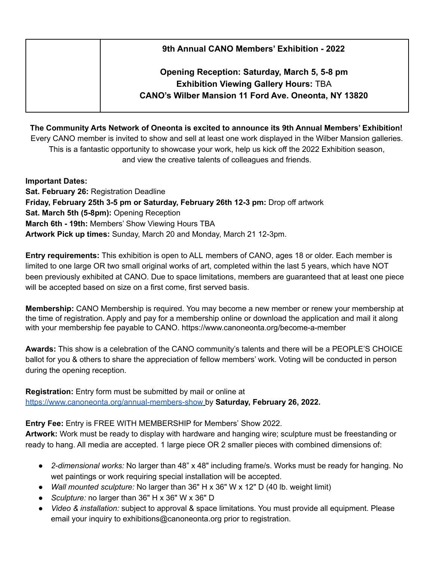| 9th Annual CANO Members' Exhibition - 2022                  |  |  |  |  |
|-------------------------------------------------------------|--|--|--|--|
| Opening Reception: Saturday, March 5, 5-8 pm                |  |  |  |  |
| <b>Exhibition Viewing Gallery Hours: TBA</b>                |  |  |  |  |
| <b>CANO's Wilber Mansion 11 Ford Ave. Oneonta, NY 13820</b> |  |  |  |  |

**The Community Arts Network of Oneonta is excited to announce its 9th Annual Members' Exhibition!** Every CANO member is invited to show and sell at least one work displayed in the Wilber Mansion galleries. This is a fantastic opportunity to showcase your work, help us kick off the 2022 Exhibition season, and view the creative talents of colleagues and friends.

**Important Dates: Sat. February 26:** Registration Deadline **Friday, February 25th 3-5 pm or Saturday, February 26th 12-3 pm:** Drop off artwork **Sat. March 5th (5-8pm):** Opening Reception **March 6th - 19th:** Members' Show Viewing Hours TBA **Artwork Pick up times:** Sunday, March 20 and Monday, March 21 12-3pm.

**Entry requirements:** This exhibition is open to ALL members of CANO, ages 18 or older. Each member is limited to one large OR two small original works of art, completed within the last 5 years, which have NOT been previously exhibited at CANO. Due to space limitations, members are guaranteed that at least one piece will be accepted based on size on a first come, first served basis.

**Membership:** CANO Membership is required. You may become a new member or renew your membership at the time of registration. Apply and pay for a membership online or download the application and mail it along with your membership fee payable to CANO. https://www.canoneonta.org/become-a-member

**Awards:** This show is a celebration of the CANO community's talents and there will be a PEOPLE'S CHOICE ballot for you & others to share the appreciation of fellow members' work. Voting will be conducted in person during the opening reception.

**Registration:** Entry form must be submitted by mail or online at <https://www.canoneonta.org/annual-members-show> by **Saturday, February 26, 2022.**

**Entry Fee:** Entry is FREE WITH MEMBERSHIP for Members' Show 2022.

**Artwork:** Work must be ready to display with hardware and hanging wire; sculpture must be freestanding or ready to hang. All media are accepted. 1 large piece OR 2 smaller pieces with combined dimensions of:

- *2-dimensional works:* No larger than 48" x 48" including frame/s. Works must be ready for hanging. No wet paintings or work requiring special installation will be accepted.
- *Wall mounted sculpture:* No larger than 36" H x 36" W x 12" D (40 lb. weight limit)
- *Sculpture:* no larger than 36" H x 36" W x 36" D
- *Video & installation:* subject to approval & space limitations. You must provide all equipment. Please email your inquiry to exhibitions@canoneonta.org prior to registration.